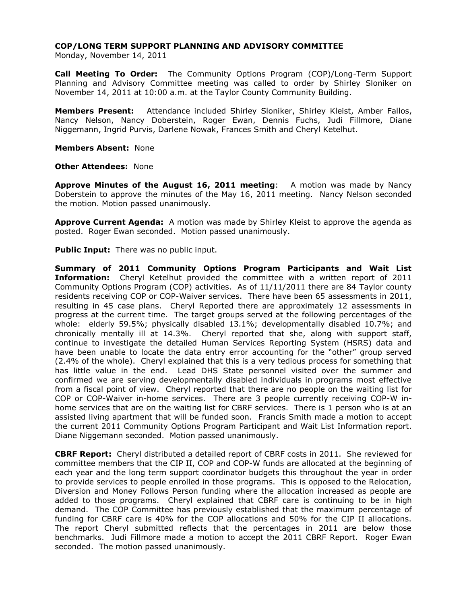Monday, November 14, 2011

**Call Meeting To Order:** The Community Options Program (COP)/Long-Term Support Planning and Advisory Committee meeting was called to order by Shirley Sloniker on November 14, 2011 at 10:00 a.m. at the Taylor County Community Building.

**Members Present:** Attendance included Shirley Sloniker, Shirley Kleist, Amber Fallos, Nancy Nelson, Nancy Doberstein, Roger Ewan, Dennis Fuchs, Judi Fillmore, Diane Niggemann, Ingrid Purvis, Darlene Nowak, Frances Smith and Cheryl Ketelhut.

**Members Absent:** None

**Other Attendees:** None

**Approve Minutes of the August 16, 2011 meeting**: A motion was made by Nancy Doberstein to approve the minutes of the May 16, 2011 meeting. Nancy Nelson seconded the motion. Motion passed unanimously.

**Approve Current Agenda:** A motion was made by Shirley Kleist to approve the agenda as posted. Roger Ewan seconded. Motion passed unanimously.

**Public Input:** There was no public input.

**Summary of 2011 Community Options Program Participants and Wait List Information:** Cheryl Ketelhut provided the committee with a written report of 2011 Community Options Program (COP) activities. As of 11/11/2011 there are 84 Taylor county residents receiving COP or COP-Waiver services. There have been 65 assessments in 2011, resulting in 45 case plans. Cheryl Reported there are approximately 12 assessments in progress at the current time. The target groups served at the following percentages of the whole: elderly 59.5%; physically disabled 13.1%; developmentally disabled 10.7%; and chronically mentally ill at 14.3%. Cheryl reported that she, along with support staff, continue to investigate the detailed Human Services Reporting System (HSRS) data and have been unable to locate the data entry error accounting for the "other" group served (2.4% of the whole). Cheryl explained that this is a very tedious process for something that has little value in the end. Lead DHS State personnel visited over the summer and confirmed we are serving developmentally disabled individuals in programs most effective from a fiscal point of view. Cheryl reported that there are no people on the waiting list for COP or COP-Waiver in-home services. There are 3 people currently receiving COP-W inhome services that are on the waiting list for CBRF services. There is 1 person who is at an assisted living apartment that will be funded soon. Francis Smith made a motion to accept the current 2011 Community Options Program Participant and Wait List Information report. Diane Niggemann seconded. Motion passed unanimously.

**CBRF Report:** Cheryl distributed a detailed report of CBRF costs in 2011. She reviewed for committee members that the CIP II, COP and COP-W funds are allocated at the beginning of each year and the long term support coordinator budgets this throughout the year in order to provide services to people enrolled in those programs. This is opposed to the Relocation, Diversion and Money Follows Person funding where the allocation increased as people are added to those programs. Cheryl explained that CBRF care is continuing to be in high demand. The COP Committee has previously established that the maximum percentage of funding for CBRF care is 40% for the COP allocations and 50% for the CIP II allocations. The report Cheryl submitted reflects that the percentages in 2011 are below those benchmarks. Judi Fillmore made a motion to accept the 2011 CBRF Report. Roger Ewan seconded. The motion passed unanimously.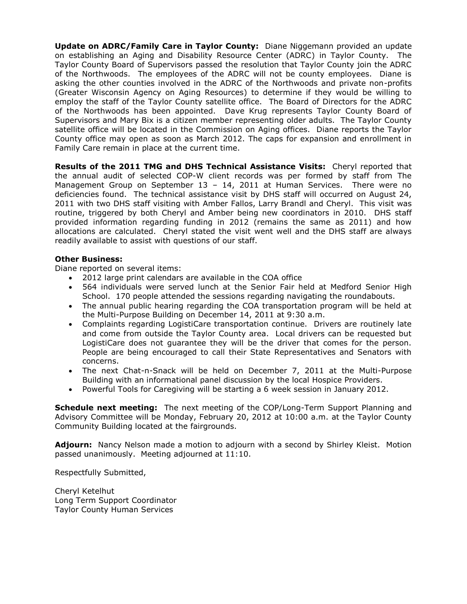**Update on ADRC/Family Care in Taylor County:** Diane Niggemann provided an update on establishing an Aging and Disability Resource Center (ADRC) in Taylor County. The Taylor County Board of Supervisors passed the resolution that Taylor County join the ADRC of the Northwoods. The employees of the ADRC will not be county employees. Diane is asking the other counties involved in the ADRC of the Northwoods and private non-profits (Greater Wisconsin Agency on Aging Resources) to determine if they would be willing to employ the staff of the Taylor County satellite office. The Board of Directors for the ADRC of the Northwoods has been appointed. Dave Krug represents Taylor County Board of Supervisors and Mary Bix is a citizen member representing older adults. The Taylor County satellite office will be located in the Commission on Aging offices. Diane reports the Taylor County office may open as soon as March 2012. The caps for expansion and enrollment in Family Care remain in place at the current time.

**Results of the 2011 TMG and DHS Technical Assistance Visits:** Cheryl reported that the annual audit of selected COP-W client records was per formed by staff from The Management Group on September 13 – 14, 2011 at Human Services. There were no deficiencies found. The technical assistance visit by DHS staff will occurred on August 24, 2011 with two DHS staff visiting with Amber Fallos, Larry Brandl and Cheryl. This visit was routine, triggered by both Cheryl and Amber being new coordinators in 2010. DHS staff provided information regarding funding in 2012 (remains the same as 2011) and how allocations are calculated. Cheryl stated the visit went well and the DHS staff are always readily available to assist with questions of our staff.

## **Other Business:**

Diane reported on several items:

- 2012 large print calendars are available in the COA office
- 564 individuals were served lunch at the Senior Fair held at Medford Senior High School. 170 people attended the sessions regarding navigating the roundabouts.
- The annual public hearing regarding the COA transportation program will be held at the Multi-Purpose Building on December 14, 2011 at 9:30 a.m.
- Complaints regarding LogistiCare transportation continue. Drivers are routinely late and come from outside the Taylor County area. Local drivers can be requested but LogistiCare does not guarantee they will be the driver that comes for the person. People are being encouraged to call their State Representatives and Senators with concerns.
- The next Chat-n-Snack will be held on December 7, 2011 at the Multi-Purpose Building with an informational panel discussion by the local Hospice Providers.
- Powerful Tools for Caregiving will be starting a 6 week session in January 2012.

**Schedule next meeting:** The next meeting of the COP/Long-Term Support Planning and Advisory Committee will be Monday, February 20, 2012 at 10:00 a.m. at the Taylor County Community Building located at the fairgrounds.

**Adjourn:** Nancy Nelson made a motion to adjourn with a second by Shirley Kleist. Motion passed unanimously. Meeting adjourned at 11:10.

Respectfully Submitted,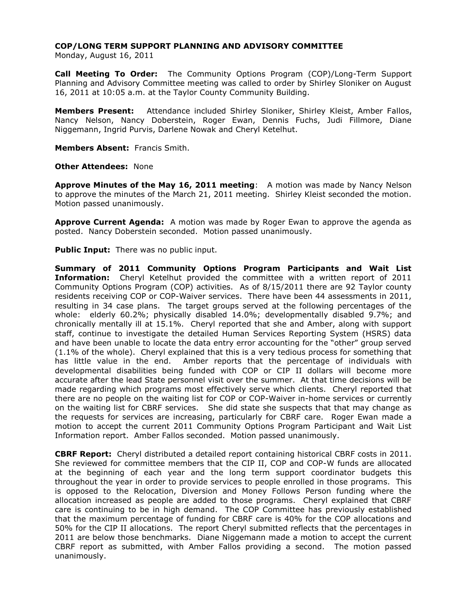Monday, August 16, 2011

**Call Meeting To Order:** The Community Options Program (COP)/Long-Term Support Planning and Advisory Committee meeting was called to order by Shirley Sloniker on August 16, 2011 at 10:05 a.m. at the Taylor County Community Building.

**Members Present:** Attendance included Shirley Sloniker, Shirley Kleist, Amber Fallos, Nancy Nelson, Nancy Doberstein, Roger Ewan, Dennis Fuchs, Judi Fillmore, Diane Niggemann, Ingrid Purvis, Darlene Nowak and Cheryl Ketelhut.

**Members Absent:** Francis Smith.

**Other Attendees:** None

**Approve Minutes of the May 16, 2011 meeting**: A motion was made by Nancy Nelson to approve the minutes of the March 21, 2011 meeting. Shirley Kleist seconded the motion. Motion passed unanimously.

**Approve Current Agenda:** A motion was made by Roger Ewan to approve the agenda as posted. Nancy Doberstein seconded. Motion passed unanimously.

**Public Input:** There was no public input.

**Summary of 2011 Community Options Program Participants and Wait List Information:** Cheryl Ketelhut provided the committee with a written report of 2011 Community Options Program (COP) activities. As of 8/15/2011 there are 92 Taylor county residents receiving COP or COP-Waiver services. There have been 44 assessments in 2011, resulting in 34 case plans. The target groups served at the following percentages of the whole: elderly 60.2%; physically disabled 14.0%; developmentally disabled 9.7%; and chronically mentally ill at 15.1%. Cheryl reported that she and Amber, along with support staff, continue to investigate the detailed Human Services Reporting System (HSRS) data and have been unable to locate the data entry error accounting for the "other" group served (1.1% of the whole). Cheryl explained that this is a very tedious process for something that has little value in the end. Amber reports that the percentage of individuals with developmental disabilities being funded with COP or CIP II dollars will become more accurate after the lead State personnel visit over the summer. At that time decisions will be made regarding which programs most effectively serve which clients. Cheryl reported that there are no people on the waiting list for COP or COP-Waiver in-home services or currently on the waiting list for CBRF services. She did state she suspects that that may change as the requests for services are increasing, particularly for CBRF care. Roger Ewan made a motion to accept the current 2011 Community Options Program Participant and Wait List Information report. Amber Fallos seconded. Motion passed unanimously.

**CBRF Report:** Cheryl distributed a detailed report containing historical CBRF costs in 2011. She reviewed for committee members that the CIP II, COP and COP-W funds are allocated at the beginning of each year and the long term support coordinator budgets this throughout the year in order to provide services to people enrolled in those programs. This is opposed to the Relocation, Diversion and Money Follows Person funding where the allocation increased as people are added to those programs. Cheryl explained that CBRF care is continuing to be in high demand. The COP Committee has previously established that the maximum percentage of funding for CBRF care is 40% for the COP allocations and 50% for the CIP II allocations. The report Cheryl submitted reflects that the percentages in 2011 are below those benchmarks. Diane Niggemann made a motion to accept the current CBRF report as submitted, with Amber Fallos providing a second. The motion passed unanimously.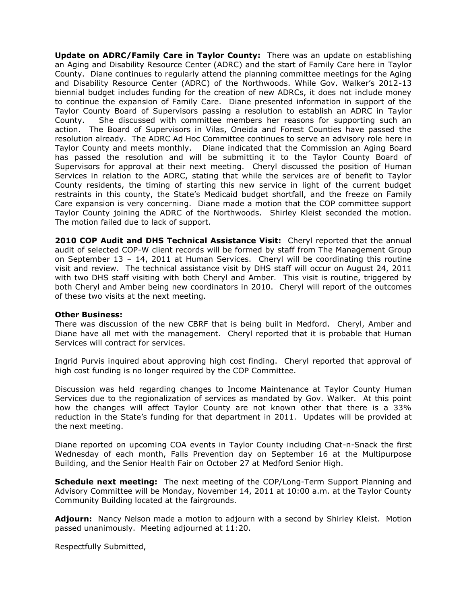**Update on ADRC/Family Care in Taylor County:** There was an update on establishing an Aging and Disability Resource Center (ADRC) and the start of Family Care here in Taylor County. Diane continues to regularly attend the planning committee meetings for the Aging and Disability Resource Center (ADRC) of the Northwoods. While Gov. Walker's 2012-13 biennial budget includes funding for the creation of new ADRCs, it does not include money to continue the expansion of Family Care. Diane presented information in support of the Taylor County Board of Supervisors passing a resolution to establish an ADRC in Taylor County. She discussed with committee members her reasons for supporting such an action. The Board of Supervisors in Vilas, Oneida and Forest Counties have passed the resolution already. The ADRC Ad Hoc Committee continues to serve an advisory role here in Taylor County and meets monthly. Diane indicated that the Commission an Aging Board has passed the resolution and will be submitting it to the Taylor County Board of Supervisors for approval at their next meeting. Cheryl discussed the position of Human Services in relation to the ADRC, stating that while the services are of benefit to Taylor County residents, the timing of starting this new service in light of the current budget restraints in this county, the State's Medicaid budget shortfall, and the freeze on Family Care expansion is very concerning. Diane made a motion that the COP committee support Taylor County joining the ADRC of the Northwoods. Shirley Kleist seconded the motion. The motion failed due to lack of support.

**2010 COP Audit and DHS Technical Assistance Visit:** Cheryl reported that the annual audit of selected COP-W client records will be formed by staff from The Management Group on September 13 – 14, 2011 at Human Services. Cheryl will be coordinating this routine visit and review. The technical assistance visit by DHS staff will occur on August 24, 2011 with two DHS staff visiting with both Cheryl and Amber. This visit is routine, triggered by both Cheryl and Amber being new coordinators in 2010. Cheryl will report of the outcomes of these two visits at the next meeting.

#### **Other Business:**

There was discussion of the new CBRF that is being built in Medford. Cheryl, Amber and Diane have all met with the management. Cheryl reported that it is probable that Human Services will contract for services.

Ingrid Purvis inquired about approving high cost finding. Cheryl reported that approval of high cost funding is no longer required by the COP Committee.

Discussion was held regarding changes to Income Maintenance at Taylor County Human Services due to the regionalization of services as mandated by Gov. Walker. At this point how the changes will affect Taylor County are not known other that there is a 33% reduction in the State's funding for that department in 2011. Updates will be provided at the next meeting.

Diane reported on upcoming COA events in Taylor County including Chat-n-Snack the first Wednesday of each month, Falls Prevention day on September 16 at the Multipurpose Building, and the Senior Health Fair on October 27 at Medford Senior High.

**Schedule next meeting:** The next meeting of the COP/Long-Term Support Planning and Advisory Committee will be Monday, November 14, 2011 at 10:00 a.m. at the Taylor County Community Building located at the fairgrounds.

**Adjourn:** Nancy Nelson made a motion to adjourn with a second by Shirley Kleist. Motion passed unanimously. Meeting adjourned at 11:20.

Respectfully Submitted,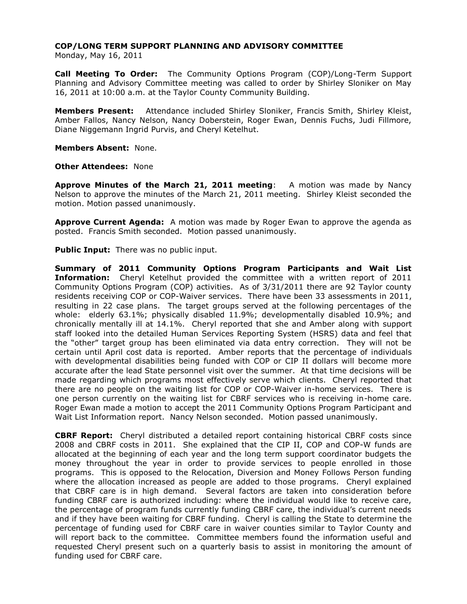Monday, May 16, 2011

**Call Meeting To Order:** The Community Options Program (COP)/Long-Term Support Planning and Advisory Committee meeting was called to order by Shirley Sloniker on May 16, 2011 at 10:00 a.m. at the Taylor County Community Building.

**Members Present:** Attendance included Shirley Sloniker, Francis Smith, Shirley Kleist, Amber Fallos, Nancy Nelson, Nancy Doberstein, Roger Ewan, Dennis Fuchs, Judi Fillmore, Diane Niggemann Ingrid Purvis, and Cheryl Ketelhut.

**Members Absent:** None.

**Other Attendees:** None

**Approve Minutes of the March 21, 2011 meeting**: A motion was made by Nancy Nelson to approve the minutes of the March 21, 2011 meeting. Shirley Kleist seconded the motion. Motion passed unanimously.

**Approve Current Agenda:** A motion was made by Roger Ewan to approve the agenda as posted. Francis Smith seconded. Motion passed unanimously.

**Public Input:** There was no public input.

**Summary of 2011 Community Options Program Participants and Wait List Information:** Cheryl Ketelhut provided the committee with a written report of 2011 Community Options Program (COP) activities. As of 3/31/2011 there are 92 Taylor county residents receiving COP or COP-Waiver services. There have been 33 assessments in 2011, resulting in 22 case plans. The target groups served at the following percentages of the whole: elderly 63.1%; physically disabled 11.9%; developmentally disabled 10.9%; and chronically mentally ill at 14.1%. Cheryl reported that she and Amber along with support staff looked into the detailed Human Services Reporting System (HSRS) data and feel that the "other" target group has been eliminated via data entry correction. They will not be certain until April cost data is reported. Amber reports that the percentage of individuals with developmental disabilities being funded with COP or CIP II dollars will become more accurate after the lead State personnel visit over the summer. At that time decisions will be made regarding which programs most effectively serve which clients. Cheryl reported that there are no people on the waiting list for COP or COP-Waiver in-home services. There is one person currently on the waiting list for CBRF services who is receiving in-home care. Roger Ewan made a motion to accept the 2011 Community Options Program Participant and Wait List Information report. Nancy Nelson seconded. Motion passed unanimously.

**CBRF Report:** Cheryl distributed a detailed report containing historical CBRF costs since 2008 and CBRF costs in 2011. She explained that the CIP II, COP and COP-W funds are allocated at the beginning of each year and the long term support coordinator budgets the money throughout the year in order to provide services to people enrolled in those programs. This is opposed to the Relocation, Diversion and Money Follows Person funding where the allocation increased as people are added to those programs. Cheryl explained that CBRF care is in high demand. Several factors are taken into consideration before funding CBRF care is authorized including: where the individual would like to receive care, the percentage of program funds currently funding CBRF care, the individual's current needs and if they have been waiting for CBRF funding. Cheryl is calling the State to determine the percentage of funding used for CBRF care in waiver counties similar to Taylor County and will report back to the committee. Committee members found the information useful and requested Cheryl present such on a quarterly basis to assist in monitoring the amount of funding used for CBRF care.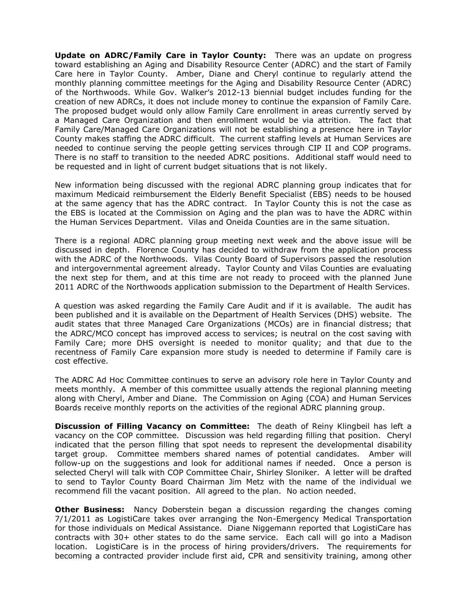**Update on ADRC/Family Care in Taylor County:** There was an update on progress toward establishing an Aging and Disability Resource Center (ADRC) and the start of Family Care here in Taylor County. Amber, Diane and Cheryl continue to regularly attend the monthly planning committee meetings for the Aging and Disability Resource Center (ADRC) of the Northwoods. While Gov. Walker's 2012-13 biennial budget includes funding for the creation of new ADRCs, it does not include money to continue the expansion of Family Care. The proposed budget would only allow Family Care enrollment in areas currently served by a Managed Care Organization and then enrollment would be via attrition. The fact that Family Care/Managed Care Organizations will not be establishing a presence here in Taylor County makes staffing the ADRC difficult. The current staffing levels at Human Services are needed to continue serving the people getting services through CIP II and COP programs. There is no staff to transition to the needed ADRC positions. Additional staff would need to be requested and in light of current budget situations that is not likely.

New information being discussed with the regional ADRC planning group indicates that for maximum Medicaid reimbursement the Elderly Benefit Specialist (EBS) needs to be housed at the same agency that has the ADRC contract. In Taylor County this is not the case as the EBS is located at the Commission on Aging and the plan was to have the ADRC within the Human Services Department. Vilas and Oneida Counties are in the same situation.

There is a regional ADRC planning group meeting next week and the above issue will be discussed in depth. Florence County has decided to withdraw from the application process with the ADRC of the Northwoods. Vilas County Board of Supervisors passed the resolution and intergovernmental agreement already. Taylor County and Vilas Counties are evaluating the next step for them, and at this time are not ready to proceed with the planned June 2011 ADRC of the Northwoods application submission to the Department of Health Services.

A question was asked regarding the Family Care Audit and if it is available. The audit has been published and it is available on the Department of Health Services (DHS) website. The audit states that three Managed Care Organizations (MCOs) are in financial distress; that the ADRC/MCO concept has improved access to services; is neutral on the cost saving with Family Care; more DHS oversight is needed to monitor quality; and that due to the recentness of Family Care expansion more study is needed to determine if Family care is cost effective.

The ADRC Ad Hoc Committee continues to serve an advisory role here in Taylor County and meets monthly. A member of this committee usually attends the regional planning meeting along with Cheryl, Amber and Diane. The Commission on Aging (COA) and Human Services Boards receive monthly reports on the activities of the regional ADRC planning group.

**Discussion of Filling Vacancy on Committee:** The death of Reiny Klingbeil has left a vacancy on the COP committee. Discussion was held regarding filling that position. Cheryl indicated that the person filling that spot needs to represent the developmental disability target group. Committee members shared names of potential candidates. Amber will follow-up on the suggestions and look for additional names if needed. Once a person is selected Cheryl will talk with COP Committee Chair, Shirley Sloniker. A letter will be drafted to send to Taylor County Board Chairman Jim Metz with the name of the individual we recommend fill the vacant position. All agreed to the plan. No action needed.

**Other Business:** Nancy Doberstein began a discussion regarding the changes coming 7/1/2011 as LogistiCare takes over arranging the Non-Emergency Medical Transportation for those individuals on Medical Assistance. Diane Niggemann reported that LogistiCare has contracts with 30+ other states to do the same service. Each call will go into a Madison location. LogistiCare is in the process of hiring providers/drivers. The requirements for becoming a contracted provider include first aid, CPR and sensitivity training, among other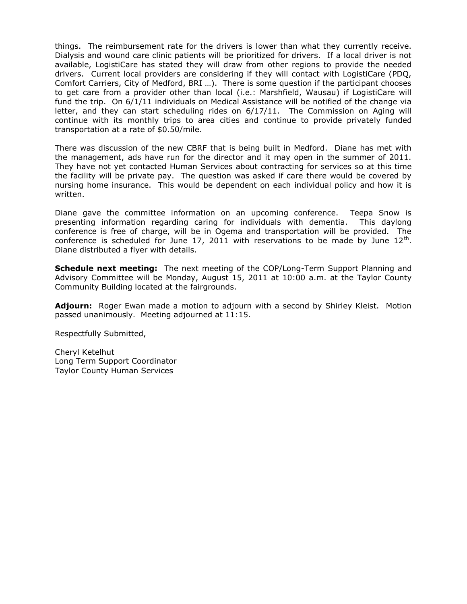things. The reimbursement rate for the drivers is lower than what they currently receive. Dialysis and wound care clinic patients will be prioritized for drivers. If a local driver is not available, LogistiCare has stated they will draw from other regions to provide the needed drivers. Current local providers are considering if they will contact with LogistiCare (PDQ, Comfort Carriers, City of Medford, BRI …). There is some question if the participant chooses to get care from a provider other than local (i.e.: Marshfield, Wausau) if LogistiCare will fund the trip. On 6/1/11 individuals on Medical Assistance will be notified of the change via letter, and they can start scheduling rides on 6/17/11. The Commission on Aging will continue with its monthly trips to area cities and continue to provide privately funded transportation at a rate of \$0.50/mile.

There was discussion of the new CBRF that is being built in Medford. Diane has met with the management, ads have run for the director and it may open in the summer of 2011. They have not yet contacted Human Services about contracting for services so at this time the facility will be private pay. The question was asked if care there would be covered by nursing home insurance. This would be dependent on each individual policy and how it is written.

Diane gave the committee information on an upcoming conference. Teepa Snow is presenting information regarding caring for individuals with dementia. This daylong conference is free of charge, will be in Ogema and transportation will be provided. The conference is scheduled for June 17, 2011 with reservations to be made by June  $12^{\text{th}}$ . Diane distributed a flyer with details.

**Schedule next meeting:** The next meeting of the COP/Long-Term Support Planning and Advisory Committee will be Monday, August 15, 2011 at 10:00 a.m. at the Taylor County Community Building located at the fairgrounds.

**Adjourn:** Roger Ewan made a motion to adjourn with a second by Shirley Kleist. Motion passed unanimously. Meeting adjourned at 11:15.

Respectfully Submitted,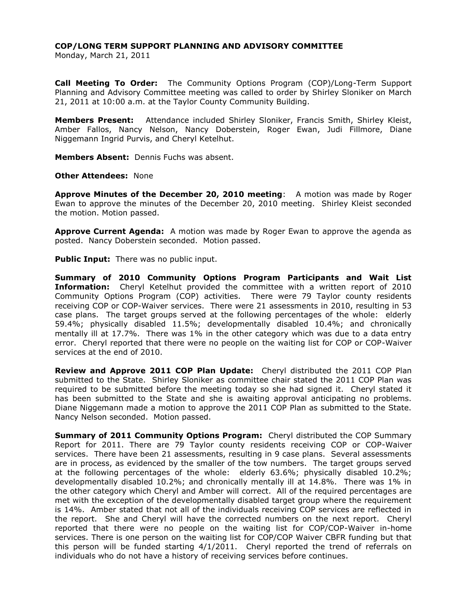Monday, March 21, 2011

**Call Meeting To Order:** The Community Options Program (COP)/Long-Term Support Planning and Advisory Committee meeting was called to order by Shirley Sloniker on March 21, 2011 at 10:00 a.m. at the Taylor County Community Building.

**Members Present:** Attendance included Shirley Sloniker, Francis Smith, Shirley Kleist, Amber Fallos, Nancy Nelson, Nancy Doberstein, Roger Ewan, Judi Fillmore, Diane Niggemann Ingrid Purvis, and Cheryl Ketelhut.

**Members Absent:** Dennis Fuchs was absent.

**Other Attendees:** None

**Approve Minutes of the December 20, 2010 meeting**: A motion was made by Roger Ewan to approve the minutes of the December 20, 2010 meeting. Shirley Kleist seconded the motion. Motion passed.

**Approve Current Agenda:** A motion was made by Roger Ewan to approve the agenda as posted. Nancy Doberstein seconded. Motion passed.

**Public Input:** There was no public input.

**Summary of 2010 Community Options Program Participants and Wait List Information:** Cheryl Ketelhut provided the committee with a written report of 2010 Community Options Program (COP) activities. There were 79 Taylor county residents receiving COP or COP-Waiver services. There were 21 assessments in 2010, resulting in 53 case plans. The target groups served at the following percentages of the whole: elderly 59.4%; physically disabled 11.5%; developmentally disabled 10.4%; and chronically mentally ill at 17.7%. There was 1% in the other category which was due to a data entry error. Cheryl reported that there were no people on the waiting list for COP or COP-Waiver services at the end of 2010.

**Review and Approve 2011 COP Plan Update:** Cheryl distributed the 2011 COP Plan submitted to the State. Shirley Sloniker as committee chair stated the 2011 COP Plan was required to be submitted before the meeting today so she had signed it. Cheryl stated it has been submitted to the State and she is awaiting approval anticipating no problems. Diane Niggemann made a motion to approve the 2011 COP Plan as submitted to the State. Nancy Nelson seconded. Motion passed.

**Summary of 2011 Community Options Program:** Cheryl distributed the COP Summary Report for 2011. There are 79 Taylor county residents receiving COP or COP-Waiver services. There have been 21 assessments, resulting in 9 case plans. Several assessments are in process, as evidenced by the smaller of the tow numbers. The target groups served at the following percentages of the whole: elderly 63.6%; physically disabled 10.2%; developmentally disabled 10.2%; and chronically mentally ill at 14.8%. There was 1% in the other category which Cheryl and Amber will correct. All of the required percentages are met with the exception of the developmentally disabled target group where the requirement is 14%. Amber stated that not all of the individuals receiving COP services are reflected in the report. She and Cheryl will have the corrected numbers on the next report. Cheryl reported that there were no people on the waiting list for COP/COP-Waiver in-home services. There is one person on the waiting list for COP/COP Waiver CBFR funding but that this person will be funded starting 4/1/2011. Cheryl reported the trend of referrals on individuals who do not have a history of receiving services before continues.